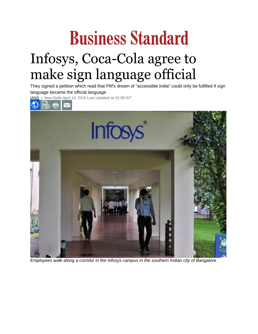## **Business Standard** Infosys, Coca-Cola agree to make sign language official

They signed a petition which read that PM's dream of "accessible India" could only be fulfilled if sign language became the official language

[IANS](http://www.business-standard.com/author/search/keyword/ians) | New Delhi April 14, 2016 Last Updated at 15:38 IST



*Employees walk along a corridor in the Infosys campus in the southern Indian city of Bangalore*